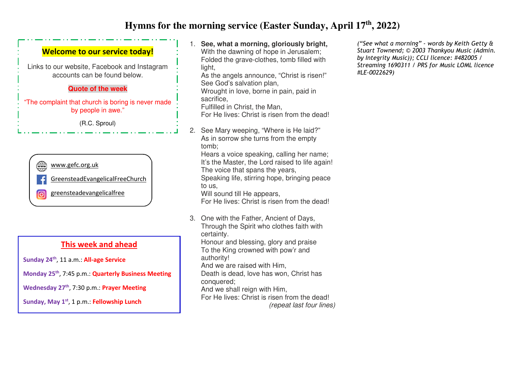## **Hymns for the morning service (Easter Sunday, April 17th, 2022)**



**Sunday, May 1st**, 1 p.m.: **Fellowship Lunch** 

 For He lives: Christ is risen from the dead! (repeat last four lines)